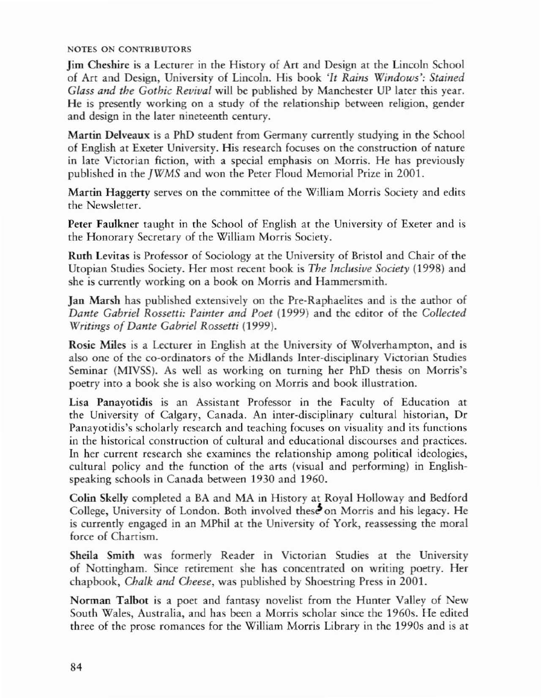## **NOTES ON CONTRIBUTORS**

**Jim Cheshire is a Lecturer in the History of Art and Design at the Lincoln School of Art and Design, University of Lincoln. His book** *<It Rains Windows'; Stained Glass and the Gothic Revival* will be published by Manchester UP later this year. **He is presently working on a study of the relationship between religion, gender and design in the later nineteenth century.**

**Martin Delveaux is a PhD student from Germany currently studying in the School of English at Exeter University. His research focuses on the construction of nature in late Victorian fiction, with a special emphasis on Morris. He has previously** published in the *jWMS* and won the Peter Floud Memorial Prize in 200l.

**Martin Haggerty serves on the committee of the William Morris Society and edits the Newsletter.**

**Peter Faulkner taught in the School of English at the University of Exeter and is the Honorary Secretary of the William Morris Society.**

**Ruth Levitas is Professor of Sociology at the University of Bristol and Chair of the** Utopian Studies Society. Her most recent book is *The Inclusive Society* (1998) and **she is currently working on a book on Morris and Hammersmith.**

**Jan Marsh has published extensively on the Pre-Raphaelites and is the author of** *Dante Gabriel Rossetti: I'.illter and Poet* (1999) and the editor of the *Collected Writings* of *Dante Gabriel Rossetti* (1999).

**Rosie Miles is a Lecturer in English at the University of Wolverhampton, and is also one of the co-ordinators of the Midlands Inter-disciplinary Victorian Studies** Seminar (M1VSS). As well as working on ruming her PhD thesis on Morris's **poetry into a book she is also working on Morris and book illustration.**

**Lisa Panayotidis is an Assistant Professor in the Faculty of Education at the University of Calgary, Canada. An inter·disciplinary cultural historian, Dr Panayotidis's scholarly research and teaching focuses on visuality and its functions in the historical construction of cultural and educational discourses and practices. In her current research she examines the relationship among political ideologies, cultural policy and the function of the arts (visual and performing) in English·** speaking schools in Canada berween 1930 and 1960.

Colin Skelly completed a BA and MA in History at Royal Holloway and Bedford **College, University of London. Both involved** thes~on **Morris and his legacy. He is currently engaged in an M.Phil at the University of York, reassessing the moral force of Chartism.**

**Sheila Smith was formerly Reader in Vicrorian Studies at the University of Nottingham. Since retirement she has concentrated on writing poetry. Her** chapbook, *Chalk and Cheese,* was published by Shoesrring Press in 2001.

**Norman Talbol is a poet and fantasy novelist from the Hunter Valley of New South Wales, Australia, and has been a Morris scholar since the 19605. He edited three of the prose romances for the William Morris Library in the 1990s and is at**